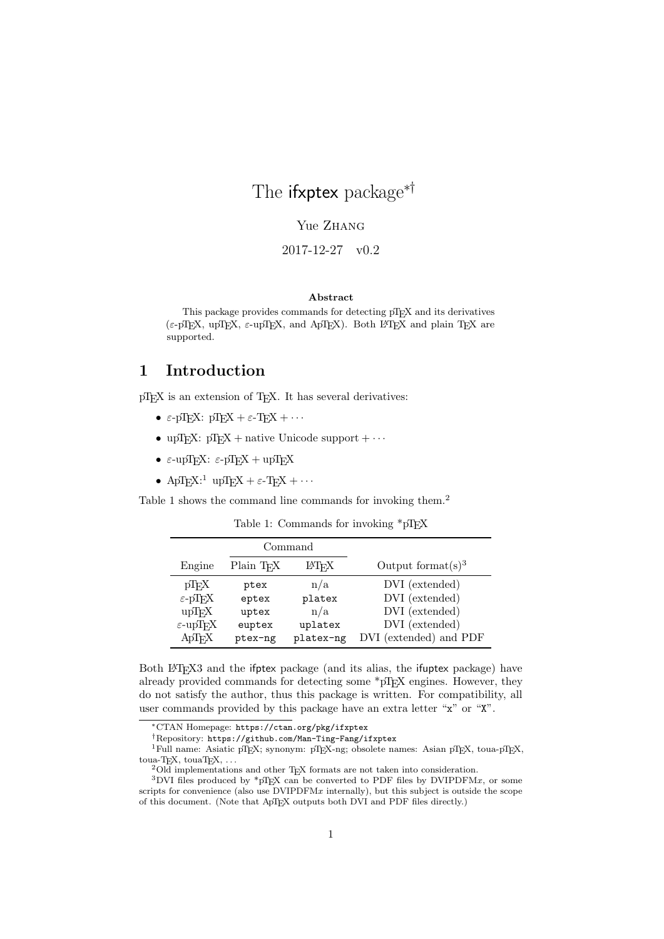# The **ifxptex** package<sup>∗†</sup>

Yue ZHANG

2017-12-27 v0.2

#### Abstract

This package provides commands for detecting pT<sub>E</sub>X and its derivatives (ε-pTEX, upTEX, ε-upTEX, and ApTEX). Both L<sup>AT</sup>EX and plain TEX are supported.

### 1 Introduction

pT<sub>E</sub>X is an extension of T<sub>E</sub>X. It has several derivatives:

- ε-pTEX: pTEX + ε-TEX +  $\cdots$
- upTEX:  $pTEX + native Unicode support + \cdots$
- ε-upTEX: ε-pTEX + upTEX
- ApT<sub>E</sub>X:<sup>1</sup> upT<sub>E</sub>X +  $\varepsilon$ -T<sub>E</sub>X +  $\cdots$

Table 1 shows the command line commands for invoking them.<sup>2</sup>

| Table 1: Commands for invoking *pTEX |  |
|--------------------------------------|--|
|--------------------------------------|--|

|                                                                                                                                |                                             | Command                                      |                                                                                                |
|--------------------------------------------------------------------------------------------------------------------------------|---------------------------------------------|----------------------------------------------|------------------------------------------------------------------------------------------------|
| Engine                                                                                                                         | Plain T <sub>F</sub> X                      | LAT <sub>F</sub> X                           | Output format $(s)^3$                                                                          |
| $pT$ <sub>F</sub> X<br>$\varepsilon$ -pT <sub>F</sub> X<br>$up$ T <sub>F</sub> X<br>$\varepsilon$ -upT <sub>F</sub> X<br>ApTrX | ptex<br>eptex<br>uptex<br>euptex<br>ptex-ng | n/a<br>platex<br>n/a<br>uplatex<br>platex-ng | DVI (extended)<br>DVI (extended)<br>DVI (extended)<br>DVI (extended)<br>DVI (extended) and PDF |

Both LATEX3 and the ifptex package (and its alias, the ifuptex package) have already provided commands for detecting some  $*pT<sub>F</sub>X$  engines. However, they do not satisfy the author, thus this package is written. For compatibility, all user commands provided by this package have an extra letter "x" or "X".

<sup>1</sup>Full name: Asiatic pTEX; synonym: pTEX-ng; obsolete names: Asian pTEX, toua-pTEX, toua-TEX, touaTEX, ...

<sup>∗</sup>CTAN Homepage: https://ctan.org/pkg/ifxptex

<sup>†</sup>Repository: https://github.com/Man-Ting-Fang/ifxptex

<sup>&</sup>lt;sup>2</sup>Old implementations and other T<sub>E</sub>X formats are not taken into consideration.

 $3$ DVI files produced by  $*pT_{E}X$  can be converted to PDF files by DVIPDFMx, or some scripts for convenience (also use  $\overline{D}VIPDFMx$  internally), but this subject is outside the scope of this document. (Note that ApTEX outputs both DVI and PDF files directly.)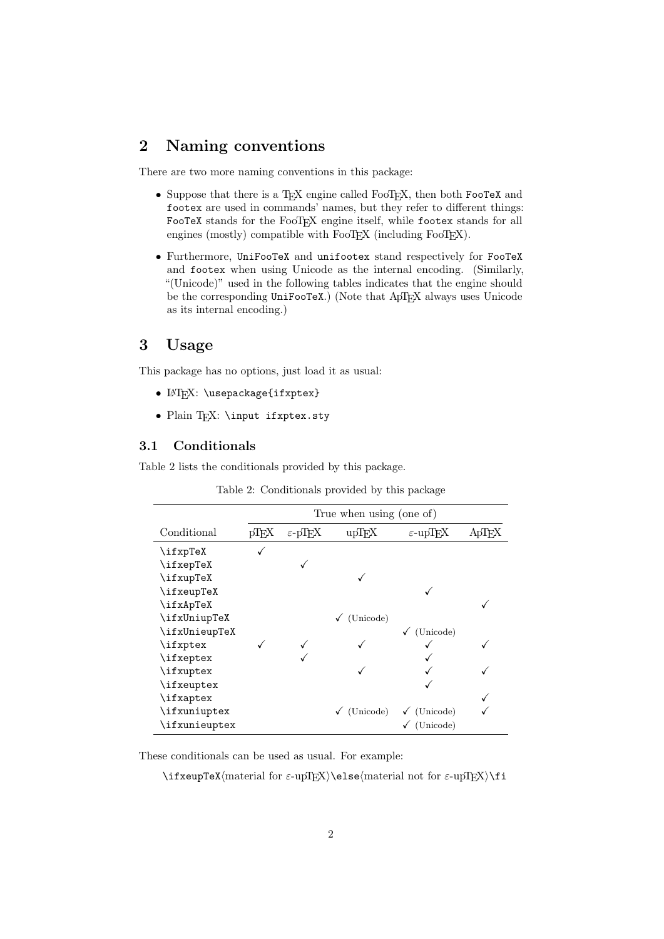## 2 Naming conventions

There are two more naming conventions in this package:

- Suppose that there is a TEX engine called FooTEX, then both FooTeX and footex are used in commands' names, but they refer to different things: FooTeX stands for the FooTEX engine itself, while footex stands for all engines (mostly) compatible with FooTEX (including FooTEX).
- Furthermore, UniFooTeX and unifootex stand respectively for FooTeX and footex when using Unicode as the internal encoding. (Similarly, "(Unicode)" used in the following tables indicates that the engine should be the corresponding UniFooTeX.) (Note that ApTEX always uses Unicode as its internal encoding.)

#### 3 Usage

This package has no options, just load it as usual:

- LAT<sub>F</sub>X: \usepackage{ifxptex}
- Plain TEX: \input ifxptex.sty

#### 3.1 Conditionals

Table 2 lists the conditionals provided by this package.

|               | True when using (one of) |                                  |           |                                   |  |  |
|---------------|--------------------------|----------------------------------|-----------|-----------------------------------|--|--|
| Conditional   | pT <sub>E</sub> X        | $\varepsilon$ -pT <sub>E</sub> X | upTEX     | $\varepsilon$ -upT <sub>F</sub> X |  |  |
| \ifxpTeX      |                          |                                  |           |                                   |  |  |
| \ifxepTeX     |                          |                                  |           |                                   |  |  |
| \ifxupTeX     |                          |                                  |           |                                   |  |  |
| \ifxeupTeX    |                          |                                  |           |                                   |  |  |
| \ifxApTeX     |                          |                                  |           |                                   |  |  |
| \ifxUniupTeX  |                          |                                  | (Unicode) |                                   |  |  |
| \ifxUnieupTeX |                          |                                  |           | (Unicode)                         |  |  |
| \ifxptex      |                          |                                  |           |                                   |  |  |
| \ifxeptex     |                          |                                  |           |                                   |  |  |
| \ifxuptex     |                          |                                  |           |                                   |  |  |
| \ifxeuptex    |                          |                                  |           |                                   |  |  |
| \ifxaptex     |                          |                                  |           |                                   |  |  |
| \ifxuniuptex  |                          |                                  | (Unicode) | (Unicode)<br>✓                    |  |  |
| \ifxunieuptex |                          |                                  |           | (Unicode)                         |  |  |

Table 2: Conditionals provided by this package

These conditionals can be used as usual. For example:

\ifxeupTeX(material for  $\varepsilon$ -upTEX)\else(material not for  $\varepsilon$ -upTEX)\fi